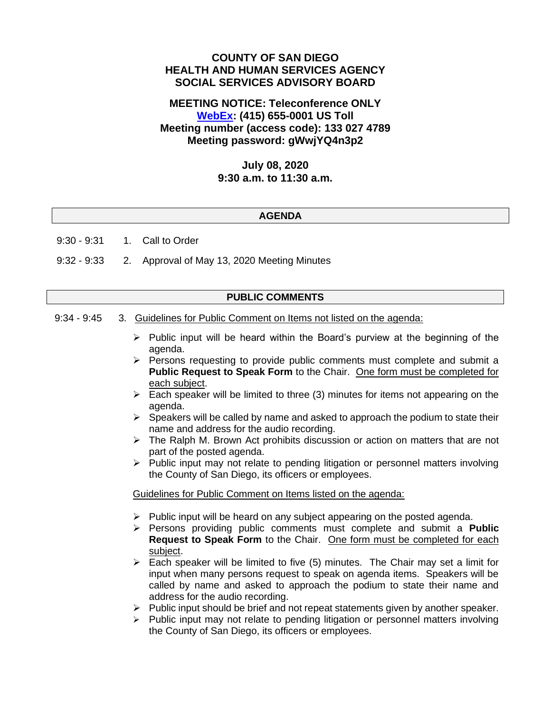# **COUNTY OF SAN DIEGO HEALTH AND HUMAN SERVICES AGENCY SOCIAL SERVICES ADVISORY BOARD**

# **MEETING NOTICE: Teleconference ONLY [WebEx:](https://sdcountyca.webex.com/sdcountyca/j.php?MTID=m4c1edf5909c03f37028a79e712bbda0b) (415) 655-0001 US Toll Meeting number (access code): 133 027 4789 Meeting password: gWwjYQ4n3p2**

# **July 08, 2020 9:30 a.m. to 11:30 a.m.**

## **AGENDA**

9:30 - 9:31 1. Call to Order

9:32 - 9:33 2. Approval of May 13, 2020 Meeting Minutes

#### **PUBLIC COMMENTS**

- 9:34 9:45 3. Guidelines for Public Comment on Items not listed on the agenda:
	- $\triangleright$  Public input will be heard within the Board's purview at the beginning of the agenda.
	- $\triangleright$  Persons requesting to provide public comments must complete and submit a **Public Request to Speak Form** to the Chair. One form must be completed for each subject.
	- $\triangleright$  Each speaker will be limited to three (3) minutes for items not appearing on the agenda.
	- $\triangleright$  Speakers will be called by name and asked to approach the podium to state their name and address for the audio recording.
	- $\triangleright$  The Ralph M. Brown Act prohibits discussion or action on matters that are not part of the posted agenda.
	- $\triangleright$  Public input may not relate to pending litigation or personnel matters involving the County of San Diego, its officers or employees.

#### Guidelines for Public Comment on Items listed on the agenda:

- $\triangleright$  Public input will be heard on any subject appearing on the posted agenda.
- ➢ Persons providing public comments must complete and submit a **Public Request to Speak Form** to the Chair. One form must be completed for each subject.
- $\triangleright$  Each speaker will be limited to five (5) minutes. The Chair may set a limit for input when many persons request to speak on agenda items. Speakers will be called by name and asked to approach the podium to state their name and address for the audio recording.
- $\triangleright$  Public input should be brief and not repeat statements given by another speaker.
- ➢ Public input may not relate to pending litigation or personnel matters involving the County of San Diego, its officers or employees.